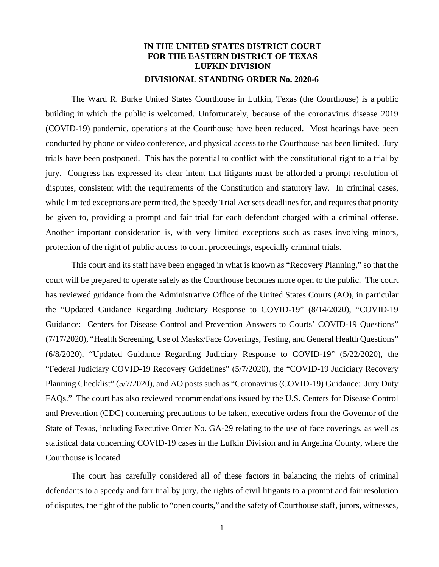## **IN THE UNITED STATES DISTRICT COURT FOR THE EASTERN DISTRICT OF TEXAS LUFKIN DIVISION DIVISIONAL STANDING ORDER No. 2020-6**

The Ward R. Burke United States Courthouse in Lufkin, Texas (the Courthouse) is a public building in which the public is welcomed. Unfortunately, because of the coronavirus disease 2019 (COVID-19) pandemic, operations at the Courthouse have been reduced. Most hearings have been conducted by phone or video conference, and physical access to the Courthouse has been limited. Jury trials have been postponed. This has the potential to conflict with the constitutional right to a trial by jury. Congress has expressed its clear intent that litigants must be afforded a prompt resolution of disputes, consistent with the requirements of the Constitution and statutory law. In criminal cases, while limited exceptions are permitted, the Speedy Trial Act sets deadlines for, and requires that priority be given to, providing a prompt and fair trial for each defendant charged with a criminal offense. Another important consideration is, with very limited exceptions such as cases involving minors, protection of the right of public access to court proceedings, especially criminal trials.

This court and its staff have been engaged in what is known as "Recovery Planning," so that the court will be prepared to operate safely as the Courthouse becomes more open to the public. The court has reviewed guidance from the Administrative Office of the United States Courts (AO), in particular the "Updated Guidance Regarding Judiciary Response to COVID-19" (8/14/2020), "COVID-19 Guidance: Centers for Disease Control and Prevention Answers to Courts' COVID-19 Questions" (7/17/2020), "Health Screening, Use of Masks/Face Coverings, Testing, and General Health Questions" (6/8/2020), "Updated Guidance Regarding Judiciary Response to COVID-19" (5/22/2020), the "Federal Judiciary COVID-19 Recovery Guidelines" (5/7/2020), the "COVID-19 Judiciary Recovery Planning Checklist" (5/7/2020), and AO posts such as "Coronavirus (COVID-19) Guidance: Jury Duty FAQs." The court has also reviewed recommendations issued by the U.S. Centers for Disease Control and Prevention (CDC) concerning precautions to be taken, executive orders from the Governor of the State of Texas, including Executive Order No. GA-29 relating to the use of face coverings, as well as statistical data concerning COVID-19 cases in the Lufkin Division and in Angelina County, where the Courthouse is located.

The court has carefully considered all of these factors in balancing the rights of criminal defendants to a speedy and fair trial by jury, the rights of civil litigants to a prompt and fair resolution of disputes, the right of the public to "open courts," and the safety of Courthouse staff, jurors, witnesses,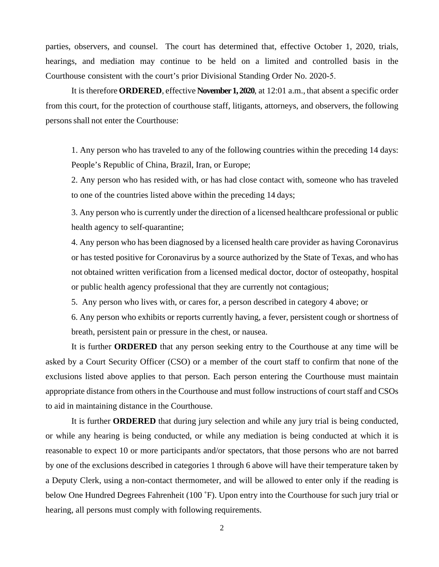parties, observers, and counsel. The court has determined that, effective October 1, 2020, trials, hearings, and mediation may continue to be held on a limited and controlled basis in the Courthouse consistent with the court's prior Divisional Standing Order No. 2020-5.

It is therefore **ORDERED**, effective **November 1, 2020**, at 12:01 a.m., that absent a specific order from this court, for the protection of courthouse staff, litigants, attorneys, and observers, the following persons shall not enter the Courthouse:

1. Any person who has traveled to any of the following countries within the preceding 14 days: People's Republic of China, Brazil, Iran, or Europe;

2. Any person who has resided with, or has had close contact with, someone who has traveled to one of the countries listed above within the preceding 14 days;

3. Any person who is currently under the direction of a licensed healthcare professional or public health agency to self-quarantine;

4. Any person who has been diagnosed by a licensed health care provider as having Coronavirus or has tested positive for Coronavirus by a source authorized by the State of Texas, and who has not obtained written verification from a licensed medical doctor, doctor of osteopathy, hospital or public health agency professional that they are currently not contagious;

5. Any person who lives with, or cares for, a person described in category 4 above; or

6. Any person who exhibits or reports currently having, a fever, persistent cough or shortness of breath, persistent pain or pressure in the chest, or nausea.

It is further **ORDERED** that any person seeking entry to the Courthouse at any time will be asked by a Court Security Officer (CSO) or a member of the court staff to confirm that none of the exclusions listed above applies to that person. Each person entering the Courthouse must maintain appropriate distance from others in the Courthouse and must follow instructions of court staff and CSOs to aid in maintaining distance in the Courthouse.

It is further **ORDERED** that during jury selection and while any jury trial is being conducted, or while any hearing is being conducted, or while any mediation is being conducted at which it is reasonable to expect 10 or more participants and/or spectators, that those persons who are not barred by one of the exclusions described in categories 1 through 6 above will have their temperature taken by a Deputy Clerk, using a non-contact thermometer, and will be allowed to enter only if the reading is below One Hundred Degrees Fahrenheit (100 °F). Upon entry into the Courthouse for such jury trial or hearing, all persons must comply with following requirements.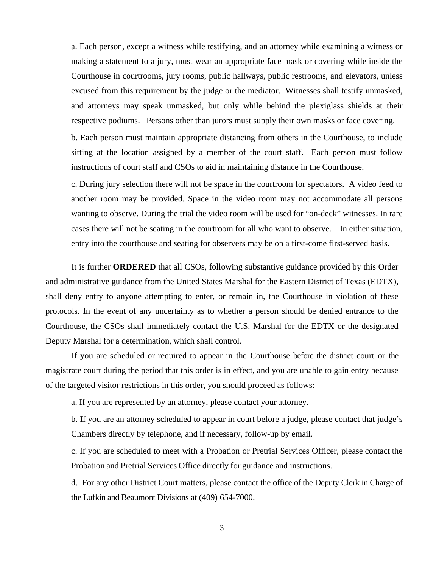a. Each person, except a witness while testifying, and an attorney while examining a witness or making a statement to a jury, must wear an appropriate face mask or covering while inside the Courthouse in courtrooms, jury rooms, public hallways, public restrooms, and elevators, unless excused from this requirement by the judge or the mediator. Witnesses shall testify unmasked, and attorneys may speak unmasked, but only while behind the plexiglass shields at their respective podiums. Persons other than jurors must supply their own masks or face covering.

b. Each person must maintain appropriate distancing from others in the Courthouse, to include sitting at the location assigned by a member of the court staff. Each person must follow instructions of court staff and CSOs to aid in maintaining distance in the Courthouse.

c. During jury selection there will not be space in the courtroom for spectators. A video feed to another room may be provided. Space in the video room may not accommodate all persons wanting to observe. During the trial the video room will be used for "on-deck" witnesses. In rare cases there will not be seating in the courtroom for all who want to observe. In either situation, entry into the courthouse and seating for observers may be on a first-come first-served basis.

It is further **ORDERED** that all CSOs, following substantive guidance provided by this Order and administrative guidance from the United States Marshal for the Eastern District of Texas (EDTX), shall deny entry to anyone attempting to enter, or remain in, the Courthouse in violation of these protocols. In the event of any uncertainty as to whether a person should be denied entrance to the Courthouse, the CSOs shall immediately contact the U.S. Marshal for the EDTX or the designated Deputy Marshal for a determination, which shall control.

If you are scheduled or required to appear in the Courthouse before the district court or the magistrate court during the period that this order is in effect, and you are unable to gain entry because of the targeted visitor restrictions in this order, you should proceed as follows:

a. If you are represented by an attorney, please contact your attorney.

b. If you are an attorney scheduled to appear in court before a judge, please contact that judge's Chambers directly by telephone, and if necessary, follow-up by email.

c. If you are scheduled to meet with a Probation or Pretrial Services Officer, please contact the Probation and Pretrial Services Office directly for guidance and instructions.

d. For any other District Court matters, please contact the office of the Deputy Clerk in Charge of the Lufkin and Beaumont Divisions at (409) 654-7000.